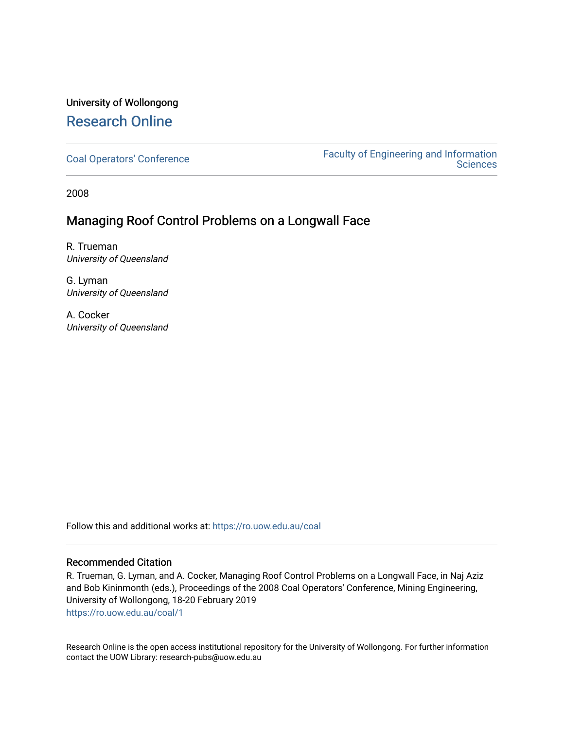## University of Wollongong [Research Online](https://ro.uow.edu.au/)

[Coal Operators' Conference](https://ro.uow.edu.au/coal) [Faculty of Engineering and Information](https://ro.uow.edu.au/eis)  **Sciences** 

2008

### Managing Roof Control Problems on a Longwall Face

R. Trueman University of Queensland

G. Lyman University of Queensland

A. Cocker University of Queensland

Follow this and additional works at: [https://ro.uow.edu.au/coal](https://ro.uow.edu.au/coal?utm_source=ro.uow.edu.au%2Fcoal%2F1&utm_medium=PDF&utm_campaign=PDFCoverPages) 

#### Recommended Citation

R. Trueman, G. Lyman, and A. Cocker, Managing Roof Control Problems on a Longwall Face, in Naj Aziz and Bob Kininmonth (eds.), Proceedings of the 2008 Coal Operators' Conference, Mining Engineering, University of Wollongong, 18-20 February 2019 [https://ro.uow.edu.au/coal/1](https://ro.uow.edu.au/coal/1?utm_source=ro.uow.edu.au%2Fcoal%2F1&utm_medium=PDF&utm_campaign=PDFCoverPages)

Research Online is the open access institutional repository for the University of Wollongong. For further information contact the UOW Library: research-pubs@uow.edu.au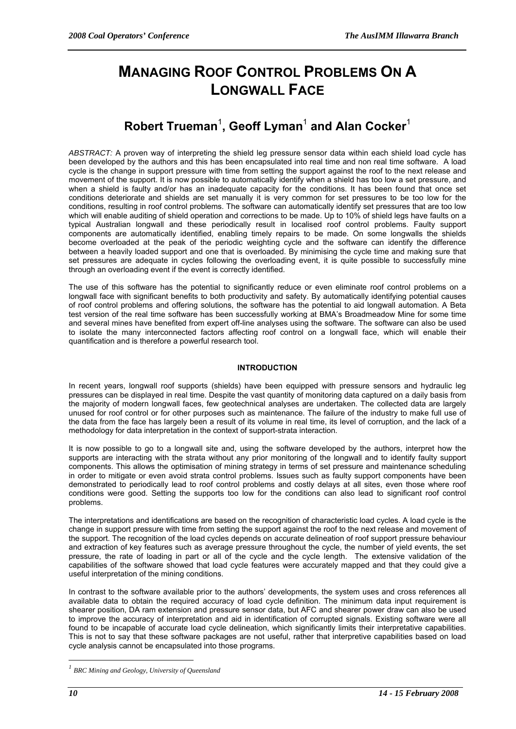# **MANAGING ROOF CONTROL PROBLEMS ON A LONGWALL FACE**

# **Robert Trueman**<sup>1</sup> **, Geoff Lyman**<sup>1</sup>  **and Alan Cocker**<sup>1</sup>

*ABSTRACT:* A proven way of interpreting the shield leg pressure sensor data within each shield load cycle has been developed by the authors and this has been encapsulated into real time and non real time software. A load cycle is the change in support pressure with time from setting the support against the roof to the next release and movement of the support. It is now possible to automatically identify when a shield has too low a set pressure, and when a shield is faulty and/or has an inadequate capacity for the conditions. It has been found that once set conditions deteriorate and shields are set manually it is very common for set pressures to be too low for the conditions, resulting in roof control problems. The software can automatically identify set pressures that are too low which will enable auditing of shield operation and corrections to be made. Up to 10% of shield legs have faults on a typical Australian longwall and these periodically result in localised roof control problems. Faulty support components are automatically identified, enabling timely repairs to be made. On some longwalls the shields become overloaded at the peak of the periodic weighting cycle and the software can identify the difference between a heavily loaded support and one that is overloaded. By minimising the cycle time and making sure that set pressures are adequate in cycles following the overloading event, it is quite possible to successfully mine through an overloading event if the event is correctly identified.

The use of this software has the potential to significantly reduce or even eliminate roof control problems on a longwall face with significant benefits to both productivity and safety. By automatically identifying potential causes of roof control problems and offering solutions, the software has the potential to aid longwall automation. A Beta test version of the real time software has been successfully working at BMA's Broadmeadow Mine for some time and several mines have benefited from expert off-line analyses using the software. The software can also be used to isolate the many interconnected factors affecting roof control on a longwall face, which will enable their quantification and is therefore a powerful research tool.

#### **INTRODUCTION**

In recent years, longwall roof supports (shields) have been equipped with pressure sensors and hydraulic leg pressures can be displayed in real time. Despite the vast quantity of monitoring data captured on a daily basis from the majority of modern longwall faces, few geotechnical analyses are undertaken. The collected data are largely unused for roof control or for other purposes such as maintenance. The failure of the industry to make full use of the data from the face has largely been a result of its volume in real time, its level of corruption, and the lack of a methodology for data interpretation in the context of support-strata interaction.

It is now possible to go to a longwall site and, using the software developed by the authors, interpret how the supports are interacting with the strata without any prior monitoring of the longwall and to identify faulty support components. This allows the optimisation of mining strategy in terms of set pressure and maintenance scheduling in order to mitigate or even avoid strata control problems. Issues such as faulty support components have been demonstrated to periodically lead to roof control problems and costly delays at all sites, even those where roof conditions were good. Setting the supports too low for the conditions can also lead to significant roof control problems.

The interpretations and identifications are based on the recognition of characteristic load cycles. A load cycle is the change in support pressure with time from setting the support against the roof to the next release and movement of the support. The recognition of the load cycles depends on accurate delineation of roof support pressure behaviour and extraction of key features such as average pressure throughout the cycle, the number of yield events, the set pressure, the rate of loading in part or all of the cycle and the cycle length. The extensive validation of the capabilities of the software showed that load cycle features were accurately mapped and that they could give a useful interpretation of the mining conditions.

In contrast to the software available prior to the authors' developments, the system uses and cross references all available data to obtain the required accuracy of load cycle definition. The minimum data input requirement is shearer position, DA ram extension and pressure sensor data, but AFC and shearer power draw can also be used to improve the accuracy of interpretation and aid in identification of corrupted signals. Existing software were all found to be incapable of accurate load cycle delineation, which significantly limits their interpretative capabilities. This is not to say that these software packages are not useful, rather that interpretive capabilities based on load cycle analysis cannot be encapsulated into those programs.

 $\overline{a}$ 

*<sup>1</sup> BRC Mining and Geology, University of Queensland*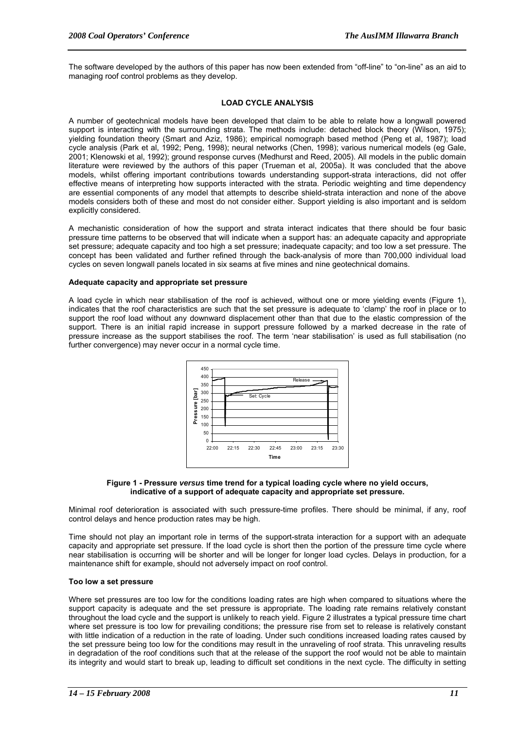The software developed by the authors of this paper has now been extended from "off-line" to "on-line" as an aid to managing roof control problems as they develop.

#### **LOAD CYCLE ANALYSIS**

A number of geotechnical models have been developed that claim to be able to relate how a longwall powered support is interacting with the surrounding strata. The methods include: detached block theory (Wilson, 1975); yielding foundation theory (Smart and Aziz, 1986); empirical nomograph based method (Peng et al, 1987); load cycle analysis (Park et al, 1992; Peng, 1998); neural networks (Chen, 1998); various numerical models (eg Gale, 2001; Klenowski et al, 1992); ground response curves (Medhurst and Reed, 2005). All models in the public domain literature were reviewed by the authors of this paper (Trueman et al, 2005a). It was concluded that the above models, whilst offering important contributions towards understanding support-strata interactions, did not offer effective means of interpreting how supports interacted with the strata. Periodic weighting and time dependency are essential components of any model that attempts to describe shield-strata interaction and none of the above models considers both of these and most do not consider either. Support yielding is also important and is seldom explicitly considered.

A mechanistic consideration of how the support and strata interact indicates that there should be four basic pressure time patterns to be observed that will indicate when a support has: an adequate capacity and appropriate set pressure; adequate capacity and too high a set pressure; inadequate capacity; and too low a set pressure. The concept has been validated and further refined through the back-analysis of more than 700,000 individual load cycles on seven longwall panels located in six seams at five mines and nine geotechnical domains.

#### **Adequate capacity and appropriate set pressure**

A load cycle in which near stabilisation of the roof is achieved, without one or more yielding events (Figure 1), indicates that the roof characteristics are such that the set pressure is adequate to 'clamp' the roof in place or to support the roof load without any downward displacement other than that due to the elastic compression of the support. There is an initial rapid increase in support pressure followed by a marked decrease in the rate of pressure increase as the support stabilises the roof. The term 'near stabilisation' is used as full stabilisation (no further convergence) may never occur in a normal cycle time.



**Figure 1 - Pressure** *versus* **time trend for a typical loading cycle where no yield occurs, indicative of a support of adequate capacity and appropriate set pressure.** 

Minimal roof deterioration is associated with such pressure-time profiles. There should be minimal, if any, roof control delays and hence production rates may be high.

Time should not play an important role in terms of the support-strata interaction for a support with an adequate capacity and appropriate set pressure. If the load cycle is short then the portion of the pressure time cycle where near stabilisation is occurring will be shorter and will be longer for longer load cycles. Delays in production, for a maintenance shift for example, should not adversely impact on roof control.

#### **Too low a set pressure**

Where set pressures are too low for the conditions loading rates are high when compared to situations where the support capacity is adequate and the set pressure is appropriate. The loading rate remains relatively constant throughout the load cycle and the support is unlikely to reach yield. Figure 2 illustrates a typical pressure time chart where set pressure is too low for prevailing conditions; the pressure rise from set to release is relatively constant with little indication of a reduction in the rate of loading. Under such conditions increased loading rates caused by the set pressure being too low for the conditions may result in the unraveling of roof strata. This unraveling results in degradation of the roof conditions such that at the release of the support the roof would not be able to maintain its integrity and would start to break up, leading to difficult set conditions in the next cycle. The difficulty in setting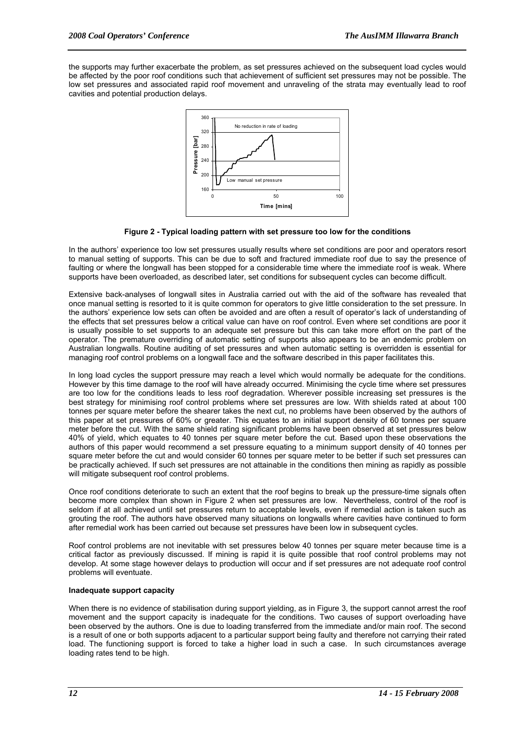the supports may further exacerbate the problem, as set pressures achieved on the subsequent load cycles would be affected by the poor roof conditions such that achievement of sufficient set pressures may not be possible. The low set pressures and associated rapid roof movement and unraveling of the strata may eventually lead to roof cavities and potential production delays.



#### **Figure 2 - Typical loading pattern with set pressure too low for the conditions**

In the authors' experience too low set pressures usually results where set conditions are poor and operators resort to manual setting of supports. This can be due to soft and fractured immediate roof due to say the presence of faulting or where the longwall has been stopped for a considerable time where the immediate roof is weak. Where supports have been overloaded, as described later, set conditions for subsequent cycles can become difficult.

Extensive back-analyses of longwall sites in Australia carried out with the aid of the software has revealed that once manual setting is resorted to it is quite common for operators to give little consideration to the set pressure. In the authors' experience low sets can often be avoided and are often a result of operator's lack of understanding of the effects that set pressures below a critical value can have on roof control. Even where set conditions are poor it is usually possible to set supports to an adequate set pressure but this can take more effort on the part of the operator. The premature overriding of automatic setting of supports also appears to be an endemic problem on Australian longwalls. Routine auditing of set pressures and when automatic setting is overridden is essential for managing roof control problems on a longwall face and the software described in this paper facilitates this.

In long load cycles the support pressure may reach a level which would normally be adequate for the conditions. However by this time damage to the roof will have already occurred. Minimising the cycle time where set pressures are too low for the conditions leads to less roof degradation. Wherever possible increasing set pressures is the best strategy for minimising roof control problems where set pressures are low. With shields rated at about 100 tonnes per square meter before the shearer takes the next cut, no problems have been observed by the authors of this paper at set pressures of 60% or greater. This equates to an initial support density of 60 tonnes per square meter before the cut. With the same shield rating significant problems have been observed at set pressures below 40% of yield, which equates to 40 tonnes per square meter before the cut. Based upon these observations the authors of this paper would recommend a set pressure equating to a minimum support density of 40 tonnes per square meter before the cut and would consider 60 tonnes per square meter to be better if such set pressures can be practically achieved. If such set pressures are not attainable in the conditions then mining as rapidly as possible will mitigate subsequent roof control problems.

Once roof conditions deteriorate to such an extent that the roof begins to break up the pressure-time signals often become more complex than shown in Figure 2 when set pressures are low. Nevertheless, control of the roof is seldom if at all achieved until set pressures return to acceptable levels, even if remedial action is taken such as grouting the roof. The authors have observed many situations on longwalls where cavities have continued to form after remedial work has been carried out because set pressures have been low in subsequent cycles.

Roof control problems are not inevitable with set pressures below 40 tonnes per square meter because time is a critical factor as previously discussed. If mining is rapid it is quite possible that roof control problems may not develop. At some stage however delays to production will occur and if set pressures are not adequate roof control problems will eventuate.

#### **Inadequate support capacity**

When there is no evidence of stabilisation during support yielding, as in Figure 3, the support cannot arrest the roof movement and the support capacity is inadequate for the conditions. Two causes of support overloading have been observed by the authors. One is due to loading transferred from the immediate and/or main roof. The second is a result of one or both supports adjacent to a particular support being faulty and therefore not carrying their rated load. The functioning support is forced to take a higher load in such a case. In such circumstances average loading rates tend to be high.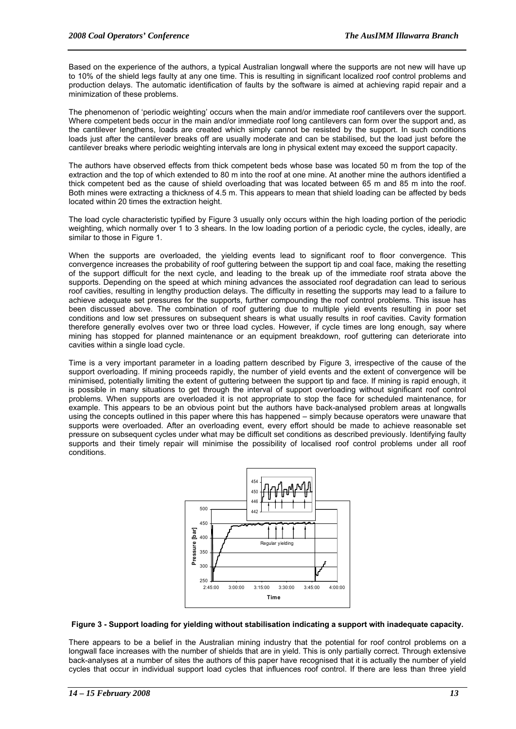Based on the experience of the authors, a typical Australian longwall where the supports are not new will have up to 10% of the shield legs faulty at any one time. This is resulting in significant localized roof control problems and production delays. The automatic identification of faults by the software is aimed at achieving rapid repair and a minimization of these problems.

The phenomenon of 'periodic weighting' occurs when the main and/or immediate roof cantilevers over the support. Where competent beds occur in the main and/or immediate roof long cantilevers can form over the support and, as the cantilever lengthens, loads are created which simply cannot be resisted by the support. In such conditions loads just after the cantilever breaks off are usually moderate and can be stabilised, but the load just before the cantilever breaks where periodic weighting intervals are long in physical extent may exceed the support capacity.

The authors have observed effects from thick competent beds whose base was located 50 m from the top of the extraction and the top of which extended to 80 m into the roof at one mine. At another mine the authors identified a thick competent bed as the cause of shield overloading that was located between 65 m and 85 m into the roof. Both mines were extracting a thickness of 4.5 m. This appears to mean that shield loading can be affected by beds located within 20 times the extraction height.

The load cycle characteristic typified by Figure 3 usually only occurs within the high loading portion of the periodic weighting, which normally over 1 to 3 shears. In the low loading portion of a periodic cycle, the cycles, ideally, are similar to those in Figure 1.

When the supports are overloaded, the yielding events lead to significant roof to floor convergence. This convergence increases the probability of roof guttering between the support tip and coal face, making the resetting of the support difficult for the next cycle, and leading to the break up of the immediate roof strata above the supports. Depending on the speed at which mining advances the associated roof degradation can lead to serious roof cavities, resulting in lengthy production delays. The difficulty in resetting the supports may lead to a failure to achieve adequate set pressures for the supports, further compounding the roof control problems. This issue has been discussed above. The combination of roof guttering due to multiple yield events resulting in poor set conditions and low set pressures on subsequent shears is what usually results in roof cavities. Cavity formation therefore generally evolves over two or three load cycles. However, if cycle times are long enough, say where mining has stopped for planned maintenance or an equipment breakdown, roof guttering can deteriorate into cavities within a single load cycle.

Time is a very important parameter in a loading pattern described by Figure 3, irrespective of the cause of the support overloading. If mining proceeds rapidly, the number of yield events and the extent of convergence will be minimised, potentially limiting the extent of guttering between the support tip and face. If mining is rapid enough, it is possible in many situations to get through the interval of support overloading without significant roof control problems. When supports are overloaded it is not appropriate to stop the face for scheduled maintenance, for example. This appears to be an obvious point but the authors have back-analysed problem areas at longwalls using the concepts outlined in this paper where this has happened – simply because operators were unaware that supports were overloaded. After an overloading event, every effort should be made to achieve reasonable set pressure on subsequent cycles under what may be difficult set conditions as described previously. Identifying faulty supports and their timely repair will minimise the possibility of localised roof control problems under all roof conditions.



#### **Figure 3 - Support loading for yielding without stabilisation indicating a support with inadequate capacity.**

There appears to be a belief in the Australian mining industry that the potential for roof control problems on a longwall face increases with the number of shields that are in yield. This is only partially correct. Through extensive back-analyses at a number of sites the authors of this paper have recognised that it is actually the number of yield cycles that occur in individual support load cycles that influences roof control. If there are less than three yield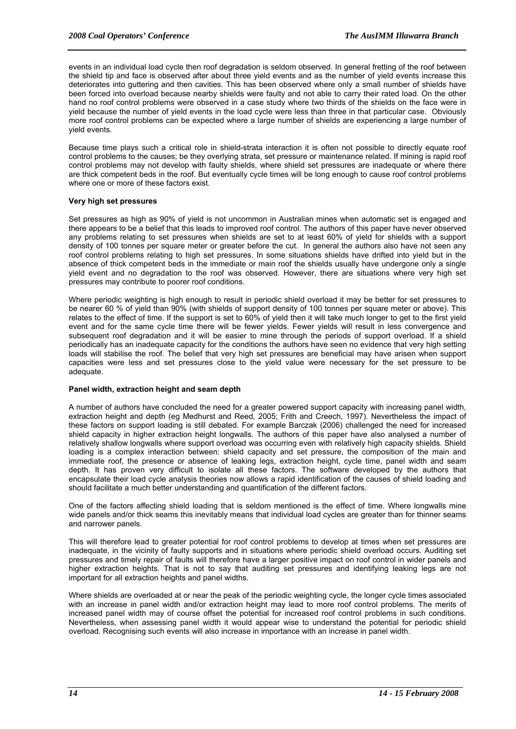events in an individual load cycle then roof degradation is seldom observed. In general fretting of the roof between the shield tip and face is observed after about three yield events and as the number of yield events increase this deteriorates into guttering and then cavities. This has been observed where only a small number of shields have been forced into overload because nearby shields were faulty and not able to carry their rated load. On the other hand no roof control problems were observed in a case study where two thirds of the shields on the face were in yield because the number of yield events in the load cycle were less than three in that particular case. Obviously more roof control problems can be expected where a large number of shields are experiencing a large number of yield events.

Because time plays such a critical role in shield-strata interaction it is often not possible to directly equate roof control problems to the causes; be they overlying strata, set pressure or maintenance related. If mining is rapid roof control problems may not develop with faulty shields, where shield set pressures are inadequate or where there are thick competent beds in the roof. But eventually cycle times will be long enough to cause roof control problems where one or more of these factors exist.

#### **Very high set pressures**

Set pressures as high as 90% of yield is not uncommon in Australian mines when automatic set is engaged and there appears to be a belief that this leads to improved roof control. The authors of this paper have never observed any problems relating to set pressures when shields are set to at least 60% of yield for shields with a support density of 100 tonnes per square meter or greater before the cut. In general the authors also have not seen any roof control problems relating to high set pressures. In some situations shields have drifted into yield but in the absence of thick competent beds in the immediate or main roof the shields usually have undergone only a single yield event and no degradation to the roof was observed. However, there are situations where very high set pressures may contribute to poorer roof conditions.

Where periodic weighting is high enough to result in periodic shield overload it may be better for set pressures to be nearer 60 % of yield than 90% (with shields of support density of 100 tonnes per square meter or above). This relates to the effect of time. If the support is set to 60% of yield then it will take much longer to get to the first yield event and for the same cycle time there will be fewer yields. Fewer yields will result in less convergence and subsequent roof degradation and it will be easier to mine through the periods of support overload. If a shield periodically has an inadequate capacity for the conditions the authors have seen no evidence that very high setting loads will stabilise the roof. The belief that very high set pressures are beneficial may have arisen when support capacities were less and set pressures close to the yield value were necessary for the set pressure to be adequate.

#### **Panel width, extraction height and seam depth**

A number of authors have concluded the need for a greater powered support capacity with increasing panel width, extraction height and depth (eg Medhurst and Reed, 2005; Frith and Creech, 1997). Nevertheless the impact of these factors on support loading is still debated. For example Barczak (2006) challenged the need for increased shield capacity in higher extraction height longwalls. The authors of this paper have also analysed a number of relatively shallow longwalls where support overload was occurring even with relatively high capacity shields. Shield loading is a complex interaction between: shield capacity and set pressure, the composition of the main and immediate roof, the presence or absence of leaking legs, extraction height, cycle time, panel width and seam depth. It has proven very difficult to isolate all these factors. The software developed by the authors that encapsulate their load cycle analysis theories now allows a rapid identification of the causes of shield loading and should facilitate a much better understanding and quantification of the different factors.

One of the factors affecting shield loading that is seldom mentioned is the effect of time. Where longwalls mine wide panels and/or thick seams this inevitably means that individual load cycles are greater than for thinner seams and narrower panels.

This will therefore lead to greater potential for roof control problems to develop at times when set pressures are inadequate, in the vicinity of faulty supports and in situations where periodic shield overload occurs. Auditing set pressures and timely repair of faults will therefore have a larger positive impact on roof control in wider panels and higher extraction heights. That is not to say that auditing set pressures and identifying leaking legs are not important for all extraction heights and panel widths.

Where shields are overloaded at or near the peak of the periodic weighting cycle, the longer cycle times associated with an increase in panel width and/or extraction height may lead to more roof control problems. The merits of increased panel width may of course offset the potential for increased roof control problems in such conditions. Nevertheless, when assessing panel width it would appear wise to understand the potential for periodic shield overload. Recognising such events will also increase in importance with an increase in panel width.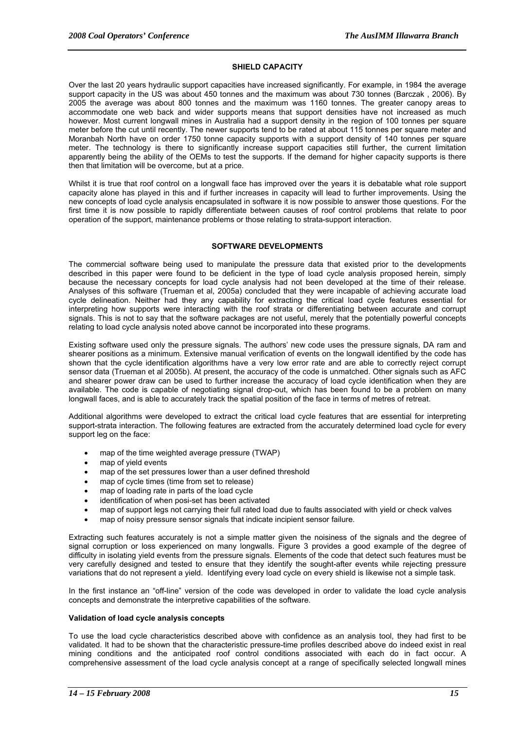#### **SHIELD CAPACITY**

Over the last 20 years hydraulic support capacities have increased significantly. For example, in 1984 the average support capacity in the US was about 450 tonnes and the maximum was about 730 tonnes (Barczak , 2006). By 2005 the average was about 800 tonnes and the maximum was 1160 tonnes. The greater canopy areas to accommodate one web back and wider supports means that support densities have not increased as much however. Most current longwall mines in Australia had a support density in the region of 100 tonnes per square meter before the cut until recently. The newer supports tend to be rated at about 115 tonnes per square meter and Moranbah North have on order 1750 tonne capacity supports with a support density of 140 tonnes per square meter. The technology is there to significantly increase support capacities still further, the current limitation apparently being the ability of the OEMs to test the supports. If the demand for higher capacity supports is there then that limitation will be overcome, but at a price.

Whilst it is true that roof control on a longwall face has improved over the years it is debatable what role support capacity alone has played in this and if further increases in capacity will lead to further improvements. Using the new concepts of load cycle analysis encapsulated in software it is now possible to answer those questions. For the first time it is now possible to rapidly differentiate between causes of roof control problems that relate to poor operation of the support, maintenance problems or those relating to strata-support interaction.

#### **SOFTWARE DEVELOPMENTS**

The commercial software being used to manipulate the pressure data that existed prior to the developments described in this paper were found to be deficient in the type of load cycle analysis proposed herein, simply because the necessary concepts for load cycle analysis had not been developed at the time of their release. Analyses of this software (Trueman et al, 2005a) concluded that they were incapable of achieving accurate load cycle delineation. Neither had they any capability for extracting the critical load cycle features essential for interpreting how supports were interacting with the roof strata or differentiating between accurate and corrupt signals. This is not to say that the software packages are not useful, merely that the potentially powerful concepts relating to load cycle analysis noted above cannot be incorporated into these programs.

Existing software used only the pressure signals. The authors' new code uses the pressure signals, DA ram and shearer positions as a minimum. Extensive manual verification of events on the longwall identified by the code has shown that the cycle identification algorithms have a very low error rate and are able to correctly reject corrupt sensor data (Trueman et al 2005b). At present, the accuracy of the code is unmatched. Other signals such as AFC and shearer power draw can be used to further increase the accuracy of load cycle identification when they are available. The code is capable of negotiating signal drop-out, which has been found to be a problem on many longwall faces, and is able to accurately track the spatial position of the face in terms of metres of retreat.

Additional algorithms were developed to extract the critical load cycle features that are essential for interpreting support-strata interaction. The following features are extracted from the accurately determined load cycle for every support leg on the face:

- map of the time weighted average pressure (TWAP)
- map of yield events
- map of the set pressures lower than a user defined threshold
- map of cycle times (time from set to release)
- map of loading rate in parts of the load cycle
- identification of when posi-set has been activated
- map of support legs not carrying their full rated load due to faults associated with yield or check valves
- map of noisy pressure sensor signals that indicate incipient sensor failure.

Extracting such features accurately is not a simple matter given the noisiness of the signals and the degree of signal corruption or loss experienced on many longwalls. Figure 3 provides a good example of the degree of difficulty in isolating yield events from the pressure signals. Elements of the code that detect such features must be very carefully designed and tested to ensure that they identify the sought-after events while rejecting pressure variations that do not represent a yield. Identifying every load cycle on every shield is likewise not a simple task.

In the first instance an "off-line" version of the code was developed in order to validate the load cycle analysis concepts and demonstrate the interpretive capabilities of the software.

#### **Validation of load cycle analysis concepts**

To use the load cycle characteristics described above with confidence as an analysis tool, they had first to be validated. It had to be shown that the characteristic pressure-time profiles described above do indeed exist in real mining conditions and the anticipated roof control conditions associated with each do in fact occur. A comprehensive assessment of the load cycle analysis concept at a range of specifically selected longwall mines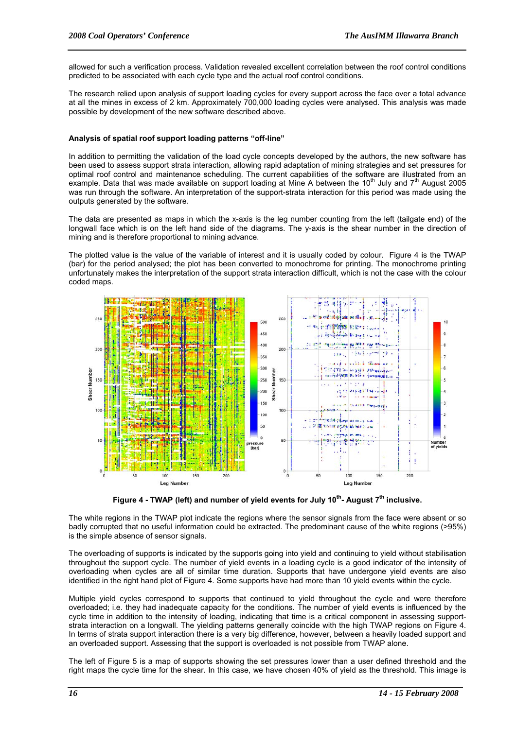allowed for such a verification process. Validation revealed excellent correlation between the roof control conditions predicted to be associated with each cycle type and the actual roof control conditions.

The research relied upon analysis of support loading cycles for every support across the face over a total advance at all the mines in excess of 2 km. Approximately 700,000 loading cycles were analysed. This analysis was made possible by development of the new software described above.

#### **Analysis of spatial roof support loading patterns "off-line"**

In addition to permitting the validation of the load cycle concepts developed by the authors, the new software has been used to assess support strata interaction, allowing rapid adaptation of mining strategies and set pressures for optimal roof control and maintenance scheduling. The current capabilities of the software are illustrated from an example. Data that was made available on support loading at Mine A between the 10<sup>th</sup> July and  $7<sup>th</sup>$  August 2005 was run through the software. An interpretation of the support-strata interaction for this period was made using the outputs generated by the software.

The data are presented as maps in which the x-axis is the leg number counting from the left (tailgate end) of the longwall face which is on the left hand side of the diagrams. The y-axis is the shear number in the direction of mining and is therefore proportional to mining advance.

The plotted value is the value of the variable of interest and it is usually coded by colour. Figure 4 is the TWAP (bar) for the period analysed; the plot has been converted to monochrome for printing. The monochrome printing unfortunately makes the interpretation of the support strata interaction difficult, which is not the case with the colour coded maps.



**Figure 4 - TWAP (left) and number of yield events for July 10th- August 7th inclusive.** 

The white regions in the TWAP plot indicate the regions where the sensor signals from the face were absent or so badly corrupted that no useful information could be extracted. The predominant cause of the white regions (>95%) is the simple absence of sensor signals.

The overloading of supports is indicated by the supports going into yield and continuing to yield without stabilisation throughout the support cycle. The number of yield events in a loading cycle is a good indicator of the intensity of overloading when cycles are all of similar time duration. Supports that have undergone yield events are also identified in the right hand plot of Figure 4. Some supports have had more than 10 yield events within the cycle.

Multiple yield cycles correspond to supports that continued to yield throughout the cycle and were therefore overloaded; i.e. they had inadequate capacity for the conditions. The number of yield events is influenced by the cycle time in addition to the intensity of loading, indicating that time is a critical component in assessing supportstrata interaction on a longwall. The yielding patterns generally coincide with the high TWAP regions on Figure 4. In terms of strata support interaction there is a very big difference, however, between a heavily loaded support and an overloaded support. Assessing that the support is overloaded is not possible from TWAP alone.

The left of Figure 5 is a map of supports showing the set pressures lower than a user defined threshold and the right maps the cycle time for the shear. In this case, we have chosen 40% of yield as the threshold. This image is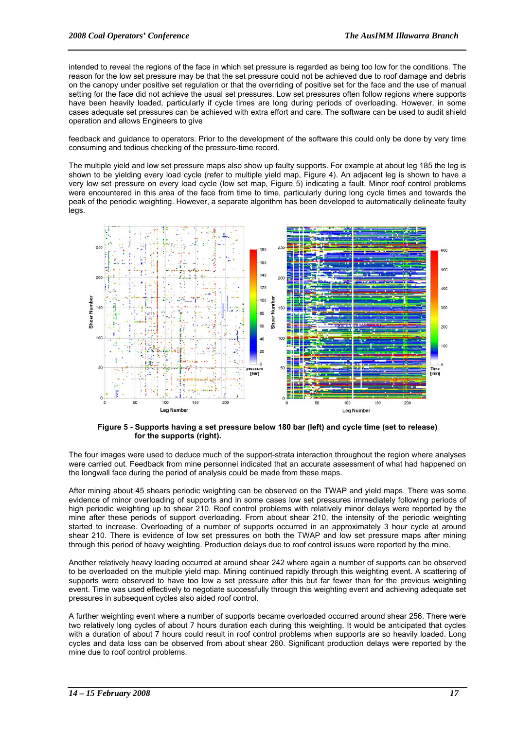intended to reveal the regions of the face in which set pressure is regarded as being too low for the conditions. The reason for the low set pressure may be that the set pressure could not be achieved due to roof damage and debris on the canopy under positive set regulation or that the overriding of positive set for the face and the use of manual setting for the face did not achieve the usual set pressures. Low set pressures often follow regions where supports have been heavily loaded, particularly if cycle times are long during periods of overloading. However, in some cases adequate set pressures can be achieved with extra effort and care. The software can be used to audit shield operation and allows Engineers to give

feedback and guidance to operators. Prior to the development of the software this could only be done by very time consuming and tedious checking of the pressure-time record.

The multiple yield and low set pressure maps also show up faulty supports. For example at about leg 185 the leg is shown to be yielding every load cycle (refer to multiple yield map, Figure 4). An adjacent leg is shown to have a very low set pressure on every load cycle (low set map, Figure 5) indicating a fault. Minor roof control problems were encountered in this area of the face from time to time, particularly during long cycle times and towards the peak of the periodic weighting. However, a separate algorithm has been developed to automatically delineate faulty legs.



**Figure 5 - Supports having a set pressure below 180 bar (left) and cycle time (set to release) for the supports (right).** 

The four images were used to deduce much of the support-strata interaction throughout the region where analyses were carried out. Feedback from mine personnel indicated that an accurate assessment of what had happened on the longwall face during the period of analysis could be made from these maps.

After mining about 45 shears periodic weighting can be observed on the TWAP and yield maps. There was some evidence of minor overloading of supports and in some cases low set pressures immediately following periods of high periodic weighting up to shear 210. Roof control problems with relatively minor delays were reported by the mine after these periods of support overloading. From about shear 210, the intensity of the periodic weighting started to increase. Overloading of a number of supports occurred in an approximately 3 hour cycle at around shear 210. There is evidence of low set pressures on both the TWAP and low set pressure maps after mining through this period of heavy weighting. Production delays due to roof control issues were reported by the mine.

Another relatively heavy loading occurred at around shear 242 where again a number of supports can be observed to be overloaded on the multiple yield map. Mining continued rapidly through this weighting event. A scattering of supports were observed to have too low a set pressure after this but far fewer than for the previous weighting event. Time was used effectively to negotiate successfully through this weighting event and achieving adequate set pressures in subsequent cycles also aided roof control.

A further weighting event where a number of supports became overloaded occurred around shear 256. There were two relatively long cycles of about 7 hours duration each during this weighting. It would be anticipated that cycles with a duration of about 7 hours could result in roof control problems when supports are so heavily loaded. Long cycles and data loss can be observed from about shear 260. Significant production delays were reported by the mine due to roof control problems.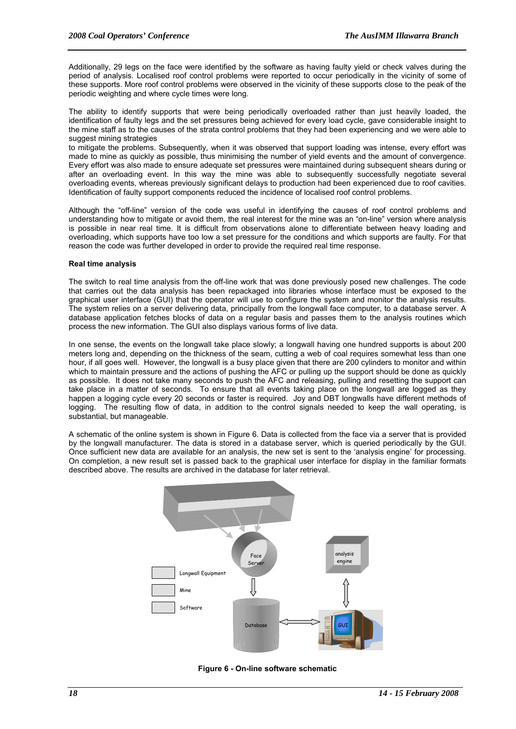Additionally, 29 legs on the face were identified by the software as having faulty yield or check valves during the period of analysis. Localised roof control problems were reported to occur periodically in the vicinity of some of these supports. More roof control problems were observed in the vicinity of these supports close to the peak of the periodic weighting and where cycle times were long.

The ability to identify supports that were being periodically overloaded rather than just heavily loaded, the identification of faulty legs and the set pressures being achieved for every load cycle, gave considerable insight to the mine staff as to the causes of the strata control problems that they had been experiencing and we were able to suggest mining strategies

to mitigate the problems. Subsequently, when it was observed that support loading was intense, every effort was made to mine as quickly as possible, thus minimising the number of yield events and the amount of convergence. Every effort was also made to ensure adequate set pressures were maintained during subsequent shears during or after an overloading event. In this way the mine was able to subsequently successfully negotiate several overloading events, whereas previously significant delays to production had been experienced due to roof cavities. Identification of faulty support components reduced the incidence of localised roof control problems.

Although the "off-line" version of the code was useful in identifying the causes of roof control problems and understanding how to mitigate or avoid them, the real interest for the mine was an "on-line" version where analysis is possible in near real time. It is difficult from observations alone to differentiate between heavy loading and overloading, which supports have too low a set pressure for the conditions and which supports are faulty. For that reason the code was further developed in order to provide the required real time response.

#### **Real time analysis**

The switch to real time analysis from the off-line work that was done previously posed new challenges. The code that carries out the data analysis has been repackaged into libraries whose interface must be exposed to the graphical user interface (GUI) that the operator will use to configure the system and monitor the analysis results. The system relies on a server delivering data, principally from the longwall face computer, to a database server. A database application fetches blocks of data on a regular basis and passes them to the analysis routines which process the new information. The GUI also displays various forms of live data.

In one sense, the events on the longwall take place slowly; a longwall having one hundred supports is about 200 meters long and, depending on the thickness of the seam, cutting a web of coal requires somewhat less than one hour, if all goes well. However, the longwall is a busy place given that there are 200 cylinders to monitor and within which to maintain pressure and the actions of pushing the AFC or pulling up the support should be done as quickly as possible. It does not take many seconds to push the AFC and releasing, pulling and resetting the support can take place in a matter of seconds. To ensure that all events taking place on the longwall are logged as they happen a logging cycle every 20 seconds or faster is required. Joy and DBT longwalls have different methods of logging. The resulting flow of data, in addition to the control signals needed to keep the wall operating, is substantial, but manageable.

A schematic of the online system is shown in Figure 6. Data is collected from the face via a server that is provided by the longwall manufacturer. The data is stored in a database server, which is queried periodically by the GUI. Once sufficient new data are available for an analysis, the new set is sent to the 'analysis engine' for processing. On completion, a new result set is passed back to the graphical user interface for display in the familiar formats described above. The results are archived in the database for later retrieval.



**Figure 6 - On-line software schematic**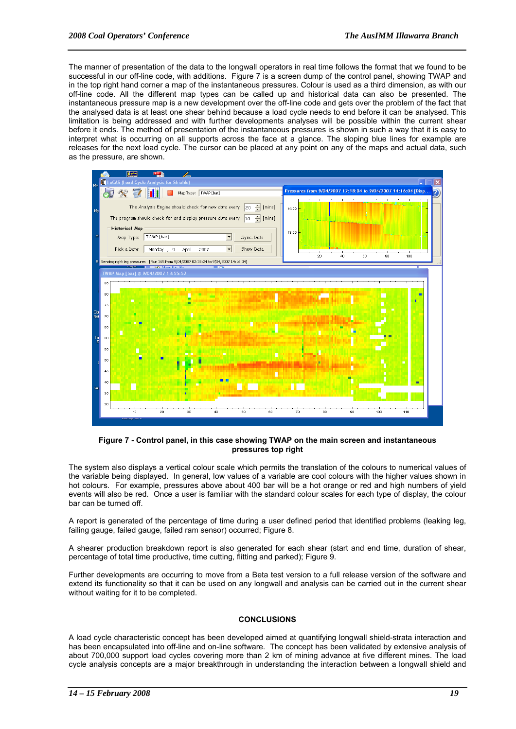The manner of presentation of the data to the longwall operators in real time follows the format that we found to be successful in our off-line code, with additions. Figure 7 is a screen dump of the control panel, showing TWAP and in the top right hand corner a map of the instantaneous pressures. Colour is used as a third dimension, as with our off-line code. All the different map types can be called up and historical data can also be presented. The instantaneous pressure map is a new development over the off-line code and gets over the problem of the fact that the analysed data is at least one shear behind because a load cycle needs to end before it can be analysed. This limitation is being addressed and with further developments analyses will be possible within the current shear before it ends. The method of presentation of the instantaneous pressures is shown in such a way that it is easy to interpret what is occurring on all supports across the face at a glance. The sloping blue lines for example are releases for the next load cycle. The cursor can be placed at any point on any of the maps and actual data, such as the pressure, are shown.



#### **Figure 7 - Control panel, in this case showing TWAP on the main screen and instantaneous pressures top right**

The system also displays a vertical colour scale which permits the translation of the colours to numerical values of the variable being displayed. In general, low values of a variable are cool colours with the higher values shown in hot colours. For example, pressures above about 400 bar will be a hot orange or red and high numbers of yield events will also be red. Once a user is familiar with the standard colour scales for each type of display, the colour bar can be turned off.

A report is generated of the percentage of time during a user defined period that identified problems (leaking leg, failing gauge, failed gauge, failed ram sensor) occurred; Figure 8.

A shearer production breakdown report is also generated for each shear (start and end time, duration of shear, percentage of total time productive, time cutting, flitting and parked); Figure 9.

Further developments are occurring to move from a Beta test version to a full release version of the software and extend its functionality so that it can be used on any longwall and analysis can be carried out in the current shear without waiting for it to be completed.

#### **CONCLUSIONS**

A load cycle characteristic concept has been developed aimed at quantifying longwall shield-strata interaction and has been encapsulated into off-line and on-line software. The concept has been validated by extensive analysis of about 700,000 support load cycles covering more than 2 km of mining advance at five different mines. The load cycle analysis concepts are a major breakthrough in understanding the interaction between a longwall shield and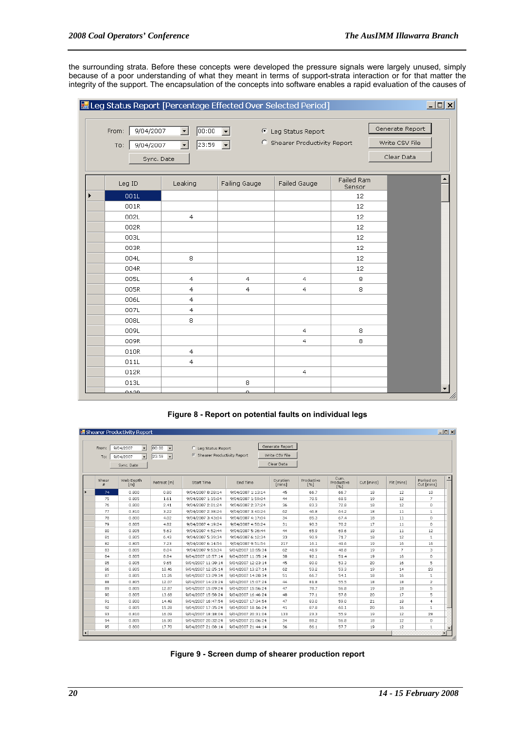the surrounding strata. Before these concepts were developed the pressure signals were largely unused, simply because of a poor understanding of what they meant in terms of support-strata interaction or for that matter the integrity of the support. The encapsulation of the concepts into software enables a rapid evaluation of the causes of

| Eleg Status Report [Percentage Effected Over Selected Period] |                               |                                                 |                |                      | $\Box$                   |
|---------------------------------------------------------------|-------------------------------|-------------------------------------------------|----------------|----------------------|--------------------------|
| 9/04/2007<br>From:<br>9/04/2007<br>To:<br>Sync. Date          | C Shearer Productivity Report | Generate Report<br>Write CSV File<br>Clear Data |                |                      |                          |
| Leg ID                                                        | Leaking                       | Failing Gauge                                   | Failed Gauge   | Failed Ram<br>Sensor |                          |
| 001L                                                          |                               |                                                 |                | 12                   |                          |
| 001R                                                          |                               |                                                 |                | 12                   |                          |
| 002L                                                          | $\overline{4}$                |                                                 |                | 12                   |                          |
| 002R                                                          |                               |                                                 |                | 12                   |                          |
| 003L                                                          |                               |                                                 |                | 12                   |                          |
| 003R                                                          |                               |                                                 |                | 12                   |                          |
| 004L                                                          | 8                             |                                                 |                | 12                   |                          |
| 004R                                                          |                               |                                                 |                | 12                   |                          |
| 005L                                                          | 4                             | $\overline{4}$                                  | 4              | 8                    |                          |
| 005R                                                          | 4                             | $\overline{4}$                                  | 4              | 8                    |                          |
| 006L                                                          | $\overline{4}$                |                                                 |                |                      |                          |
| 007L                                                          | $\overline{4}$                |                                                 |                |                      |                          |
| 008L                                                          | 8                             |                                                 |                |                      |                          |
| 009L                                                          |                               |                                                 | $\overline{4}$ | 8                    |                          |
| 009R                                                          |                               |                                                 | $\overline{4}$ | 8                    |                          |
| 010R                                                          | $\overline{4}$                |                                                 |                |                      |                          |
| 011L                                                          | $\overline{4}$                |                                                 |                |                      |                          |
| 012R                                                          |                               |                                                 | 4              |                      |                          |
| 013L                                                          |                               | 8                                               |                |                      |                          |
| لمصدم                                                         |                               |                                                 |                |                      | $\overline{\phantom{a}}$ |

#### **Figure 8 - Report on potential faults on individual legs**

|         |               | <b>B.</b> Shearer Productivity Report |                              |                               |                    |                    |                   |                           |            |             | $ \Box$ $\times$        |
|---------|---------------|---------------------------------------|------------------------------|-------------------------------|--------------------|--------------------|-------------------|---------------------------|------------|-------------|-------------------------|
|         |               |                                       |                              |                               |                    |                    |                   |                           |            |             |                         |
|         | From:         | $\overline{\phantom{a}}$<br>9/04/2007 | 00:00<br>$\vert \cdot \vert$ | C Leg Status Report           |                    | Generate Report    |                   |                           |            |             |                         |
|         |               | $\overline{ }$                        | 23:59<br>$\vert \cdot \vert$ | 6 Shearer Productivity Report |                    | Write CSV File     |                   |                           |            |             |                         |
|         | To:           | 9/04/2007                             |                              |                               |                    |                    |                   |                           |            |             |                         |
|         |               | Sync. Date                            |                              |                               |                    | Clear Data         |                   |                           |            |             |                         |
|         |               |                                       |                              |                               |                    |                    |                   |                           |            |             |                         |
|         | Shear<br>$\#$ | Web Depth<br>[ <sub>m</sub> ]         | Retreat [m]                  | <b>Start Time</b>             | End Time           | Duration<br>[mins] | Productive<br>[%] | Cum.<br>Productive<br>[%] | Cut [mins] | Flit [mins] | Parked on<br>Cut [mins] |
| ٠       | 74            | 0.800                                 | 0.80                         | 9/04/2007 0:28:14             | 9/04/2007 1:13:14  | 45                 | 66.7              | 66.7                      | 18         | 12          | 10                      |
|         | 75            | 0.805                                 | 1.61                         | 9/04/2007 1:15:04             | 9/04/2007 1:59:04  | 44                 | 70.5              | 68.5                      | 19         | 12          | 7                       |
|         | 76            | 0.800                                 | 2.41                         | 9/04/2007 2:01:24             | 9/04/2007 2:37:24  | 36                 | 83.3              | 72.8                      | 18         | 12          | 0                       |
|         | 77            | 0.810                                 | 3.22                         | 9/04/2007 2:38:24             | 9/04/2007 3:40:24  | 62                 | 46.8              | 64.2                      | 18         | 11          | $\mathbf{1}$            |
|         | 78            | 0.800                                 | 4.02                         | 9/04/2007 3:43:04             | 9/04/2007 4:17:04  | 34                 | 85.3              | 67.4                      | 18         | 11          | $\Omega$                |
|         | 79            | 0.805                                 | 4.82                         | 9/04/2007 4:19:24             | 9/04/2007 4:50:24  | 31                 | 90.3              | 70.2                      | 17         | 11          | $\Omega$                |
|         | 80            | 0.805                                 | 5.63                         | 9/04/2007 4:52:44             | 9/04/2007 5:36:44  | 44                 | 65.9              | 69.6                      | 18         | 11          | 12                      |
|         | 81            | 0.805                                 | 6.43                         | 9/04/2007 5:39:34             | 9/04/2007 6:12:34  | 33                 | 90.9              | 71.7                      | 18         | 12          | $\mathbf{1}$            |
|         | 82            | 0.805                                 | 7.23                         | 9/04/2007 6:14:54             | 9/04/2007 9:51:54  | 217                | 16.1              | 49.6                      | 19         | 16          | 16                      |
|         | 83            | 0.805                                 | 8.04                         | 9/04/2007 9:53:34             | 9/04/2007 10:55:34 | 62                 | 41.9              | 48.8                      | 19         | 7           | з                       |
|         | 84            | 0.805                                 | 8.84                         | 9/04/2007 10:57:14            | 9/04/2007 11:35:14 | 38                 | 92.1              | 51.4                      | 19         | 16          | 0                       |
|         | 85            | 0.805                                 | 9.65                         | 9/04/2007 11:38:14            | 9/04/2007 12:23:14 | 45                 | 80.0              | 53.3                      | 20         | 16          | 5.                      |
|         | 86            | 0.805                                 | 10.46                        | 9/04/2007 12:25:14            | 9/04/2007 13:27:14 | 62                 | 53.2              | 53.3                      | 19         | 14          | 23                      |
|         | 87            | 0.805                                 | 11.26                        | 9/04/2007 13:29:34            | 9/04/2007 14:20:34 | 51                 | 66.7              | 54.1                      | 18         | 16          | 1                       |
|         | 88            | 0.805                                 | 12.07                        | 9/04/2007 14:23:24            | 9/04/2007 15:07:24 | 44                 | 81.8              | 55.5                      | 18         | 18          | $\overline{2}$          |
|         | 89            | 0.805                                 | 12.87                        | 9/04/2007 15:09:24            | 9/04/2007 15:56:24 | 47                 | 78.7              | 56.8                      | 19         | 18          | 5                       |
|         | 90            | 0.805                                 | 13.68                        | 9/04/2007 15:58:24            | 9/04/2007 16:46:24 | 48                 | 77.1              | 57.8                      | 20         | 17          | 5                       |
|         | 91            | 0.800                                 | 14.48                        | 9/04/2007 16:47:54            | 9/04/2007 17:34:54 | 47                 | 83.0              | 59.0                      | 21         | 18          | $\overline{4}$          |
|         | 92            | 0.805                                 | 15.28                        | 9/04/2007 17:35:24            | 9/04/2007 18:16:24 | 41                 | 87.8              | 60.1                      | 20         | 16          | $\mathbf{1}$            |
|         | 93            | 0.810                                 | 16.09                        | 9/04/2007 18:18:04            | 9/04/2007 20:31:04 | 133                | 23.3              | 55.9                      | 19         | 12          | 28                      |
|         | 94            | 0.805                                 | 16.90                        | 9/04/2007 20:32:24            | 9/04/2007 21:06:24 | 34                 | 88.2              | 56.8                      | 18         | 12          | $\circ$                 |
|         | 95            | 0.800                                 | 17.70                        | 9/04/2007 21:08:14            | 9/04/2007 21:44:14 | 36                 | 86.1              | 57.7                      | 19         | 12          | $\mathbf{1}$            |
| $\vert$ |               |                                       |                              |                               |                    |                    |                   |                           |            |             | $\mathbf{r}$            |

| Figure 9 - Screen dump of shearer production report |  |
|-----------------------------------------------------|--|
|-----------------------------------------------------|--|